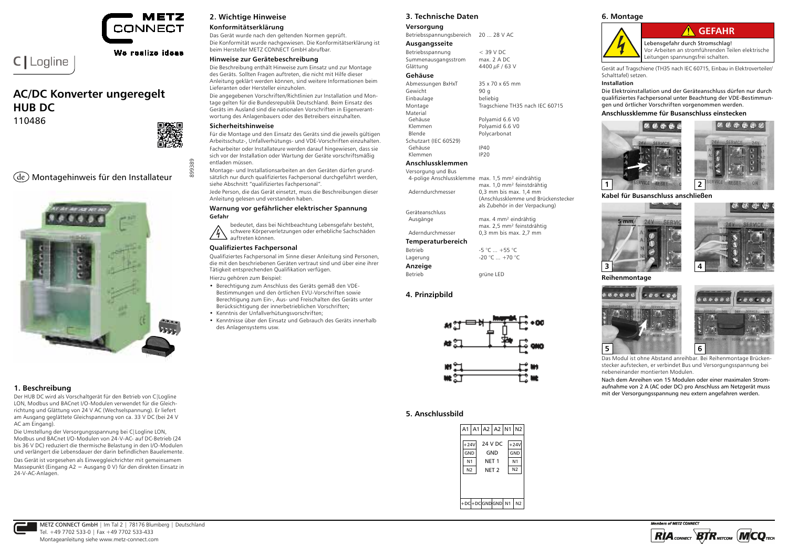

### We realize ideas

# **AC/DC Konverter ungeregelt HUB DC**

110486

C | Logline



899389

### de Montagehinweis für den Installateur



#### **1. Beschreibung**

Der HUB DC wird als Vorschaltgerät für den Betrieb von C|Logline LON, Modbus und BACnet I/O-Modulen verwendet für die Gleichrichtung und Glättung von 24 V AC (Wechselspannung). Er liefert am Ausgang geglättete Gleichspannung von ca. 33 V DC (bei 24 V AC am Eingang).

Die Umstellung der Versorgungsspannung bei C|Logline LON, Modbus und BACnet I/O-Modulen von 24-V-AC- auf DC-Betrieb (24 bis 36 V DC) reduziert die thermische Belastung in den I/O-Modulen und verlängert die Lebensdauer der darin befindlichen Bauelemente. Das Gerät ist vorgesehen als Einweggleichrichter mit gemeinsamem Massepunkt (Eingang A2 = Ausgang 0 V) für den direkten Einsatz in 24-V-AC-Anlagen.

#### **2. Wichtige Hinweise**

#### **Konformitätserklärung**

Das Gerät wurde nach den geltenden Normen geprüft. Die Konformität wurde nachgewiesen. Die Konformitätserklärung ist beim Hersteller METZ CONNECT GmbH abrufbar.

#### **Hinweise zur Gerätebeschreibung**

Die Beschreibung enthält Hinweise zum Einsatz und zur Montage des Geräts. Sollten Fragen auftreten, die nicht mit Hilfe dieser Anleitung geklärt werden können, sind weitere Informationen beim Lieferanten oder Hersteller einzuholen.

Die angegebenen Vorschriften/Richtlinien zur Installation und Montage gelten für die Bundesrepublik Deutschland. Beim Einsatz des Geräts im Ausland sind die nationalen Vorschriften in Eigenverantwortung des Anlagenbauers oder des Betreibers einzuhalten.

#### **Sicherheitshinweise**

Für die Montage und den Einsatz des Geräts sind die jeweils gültigen Arbeitsschutz-, Unfallverhütungs- und VDE-Vorschriften einzuhalten. Facharbeiter oder Installateure werden darauf hingewiesen, dass sie sich vor der Installation oder Wartung der Geräte vorschriftsmäßig entladen müssen.

Montage- und Installationsarbeiten an den Geräten dürfen grundsätzlich nur durch qualifiziertes Fachpersonal durchgeführt werden, siehe Abschnitt "qualifiziertes Fachpersonal".

Jede Person, die das Gerät einsetzt, muss die Beschreibungen dieser Anleitung gelesen und verstanden haben.

#### **Warnung vor gefährlicher elektrischer Spannung Gefahr**

bedeutet, dass bei Nichtbeachtung Lebensgefahr besteht, schwere Körperverletzungen oder erhebliche Sachschäden auftreten können.

#### **Qualifiziertes Fachpersonal**

Qualifiziertes Fachpersonal im Sinne dieser Anleitung sind Personen, die mit den beschriebenen Geräten vertraut sind und über eine ihrer Tätigkeit entsprechenden Qualifikation verfügen. Hierzu gehören zum Beispiel:

• Berechtigung zum Anschluss des Geräts gemäß den VDE-Bestimmungen und den örtlichen EVU-Vorschriften sowie Berechtigung zum Ein-, Aus- und Freischalten des Geräts unter Berücksichtigung der innerbetrieblichen Vorschriften;

- Kenntnis der Unfallverhütungsvorschriften;
- Kenntnisse über den Einsatz und Gebrauch des Geräts innerhalb des Anlagensystems usw.

#### **3. Technische Daten**

#### **Versorgung**

Betriebsspannungsbereich 20 ... 28 V AC **Ausgangsseite**

| $<$ 39 V DC    |
|----------------|
| max. 2 A DC    |
| 4400 µF / 63 V |
|                |

#### **Gehäuse**

| Abmessungen BxHxT     | $35 \times 70 \times 65$ mm     |
|-----------------------|---------------------------------|
| Gewicht               | 90 g                            |
| Einbaulage            | beliebig                        |
| Montage               | Tragschiene TH35 nach IEC 60715 |
| Material              |                                 |
| Gehäuse               | Polyamid 6.6 V0                 |
| Klemmen               | Polyamid 6.6 V0                 |
| Blende                | Polycarbonat                    |
| Schutzart (IEC 60529) |                                 |
| Gehäuse               | IP40                            |
| Klemmen               | IP <sub>20</sub>                |
|                       |                                 |

### **Anschlussklemmen**

| Versorgung und Bus       |                                        |
|--------------------------|----------------------------------------|
| 4-polige Anschlussklemme | max. 1,5 mm <sup>2</sup> eindrähtig    |
|                          | max. 1,0 mm <sup>2</sup> feinstdrähtig |
| Aderndurchmesser         | 0,3 mm bis max. 1,4 mm                 |
|                          | (Anschlussklemme und Brückenstecker    |
|                          | als Zubehör in der Verpackung)         |
| Geräteanschluss          |                                        |
| Ausgänge                 | max. 4 mm <sup>2</sup> eindrähtig      |
|                          | max. 2,5 mm <sup>2</sup> feinstdrähtig |
| Aderndurchmesser         | $0.3$ mm bis max. $2.7$ mm             |
| <b>Temperaturbereich</b> |                                        |
| <b>Betrieb</b>           | $-5$ °C $ + 55$ °C                     |
| Lagerung                 | $-20 °C  +70 °C$                       |
| Anzeige                  |                                        |
| <b>Betrieb</b>           | arüne LED                              |

#### **4. Prinzipbild**



#### **5. Anschlussbild**

#### **6. Montage**



Gerät auf Tragschiene (TH35 nach IEC 60715, Einbau in Elektroverteiler/ Schalttafel) setzen.

#### **Installation**

Die Elektroinstallation und der Geräteanschluss dürfen nur durch qualifiziertes Fachpersonal unter Beachtung der VDE-Bestimmungen und örtlicher Vorschriften vorgenommen werden.

#### **Anschlussklemme für Busanschluss einstecken**



**Kabel für Busanschluss anschließen**





**Reihenmontage**





Das Modul ist ohne Abstand anreihbar. Bei Reihenmontage Brückenstecker aufstecken, er verbindet Bus und Versorgungsspannung bei nebeneinander montierten Modulen.

Nach dem Anreihen von 15 Modulen oder einer maximalen Stromaufnahme von 2 A (AC oder DC) pro Anschluss am Netzgerät muss mit der Versorgungsspannung neu extern angefahren werden.



Members of METZ CONNECT  $RIA$ <sub>CONNECT</sub>  $BTR$ NETCOM  $(M/CQ)$ TECH

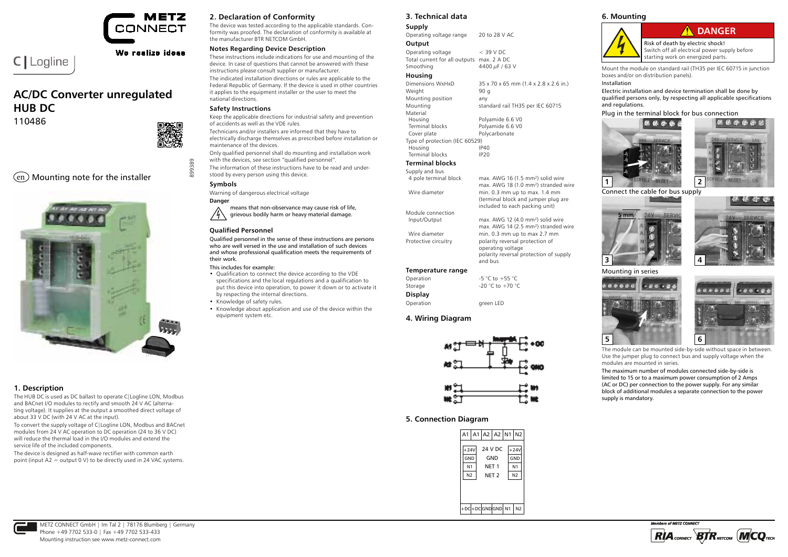

#### We realize ideas

# **AC/DC Converter unregulated HUB DC**

110486

C | Logline



899389

### $\text{en}$ ) Mounting note for the installer



#### **1. Description**

The HUB DC is used as DC ballast to operate C|Logline LON, Modbus and BACnet I/O modules to rectify and smooth 24 V AC (alternating voltage). It supplies at the output a smoothed direct voltage of about 33 V DC (with 24 V AC at the input).

To convert the supply voltage of C|Logline LON, Modbus and BACnet modules from 24 V AC operation to DC operation (24 to 36 V DC) will reduce the thermal load in the I/O modules and extend the service life of the included components.

The device is designed as half-wave rectifier with common earth point (input A2 = output 0 V) to be directly used in 24 VAC systems.

#### **2. Declaration of Conformity**

The device was tested according to the applicable standards. Conformity was proofed. The declaration of conformity is available at the manufacturer BTR NETCOM GmbH.

#### **Notes Regarding Device Description**

These instructions include indications for use and mounting of the device. In case of questions that cannot be answered with these instructions please consult supplier or manufacturer. The indicated installation directions or rules are applicable to the Federal Republic of Germany. If the device is used in other countries it applies to the equipment installer or the user to meet the national directions.

#### **Safety Instructions**

Keep the applicable directions for industrial safety and prevention of accidents as well as the VDE rules.

Technicians and/or installers are informed that they have to electrically discharge themselves as prescribed before installation or maintenance of the devices.

Only qualified personnel shall do mounting and installation work with the devices, see section "qualified personnel".

The information of these instructions have to be read and understood by every person using this device.

#### **Symbols**

Warning of dangerous electrical voltage **Danger**

means that non-observance may cause risk of life,  $/4$ grievous bodily harm or heavy material damage.

#### **Qualified Personnel**

Qualified personnel in the sense of these instructions are persons who are well versed in the use and installation of such devices and whose professional qualification meets the requirements of their work.

#### This includes for example:

- Qualification to connect the device according to the VDE specifications and the local regulations and a qualification to put this device into operation, to power it down or to activate it by respecting the internal directions.
- Knowledge of safety rules.
- Knowledge about application and use of the device within the equipment system etc.

**3. Technical data**

### **Supply**

Operating voltage range 20 to 28 V AC **Output**

Operating voltage < 39 V DC Total current for all outputs max. 2 A DC<br>Smoothing 4400  $\mu$ F / 63 4400  $\mu$ F / 63 V

#### **Housing**

| Dimensions WxHxD               | 35 x 70 x 65 mm (1.4 x 2.8 x 2.6 in.) |
|--------------------------------|---------------------------------------|
| Weight                         | 90 g                                  |
| Mounting position              | any                                   |
| Mounting                       | standard rail TH35 per IEC 60715      |
| Material                       |                                       |
| Housing                        | Polyamide 6.6 V0                      |
| Terminal blocks                | Polyamide 6.6 V0                      |
| Cover plate                    | Polycarbonate                         |
| Type of protection (IEC 60529) |                                       |
| Housing                        | IP40                                  |
| Terminal blocks                | IP20                                  |
|                                |                                       |

**Terminal blocks** Supply and  $4$  pole to

| supply and bus        |                                                  |
|-----------------------|--------------------------------------------------|
| 4 pole terminal block | max. AWG 16 (1.5 mm <sup>2</sup> ) solid wire    |
|                       | max. AWG 18 (1.0 mm <sup>2</sup> ) stranded wire |
| Wire diameter         | min. 0.3 mm up to max. 1.4 mm                    |
|                       | (terminal block and jumper plug are              |
|                       | included to each packing unit)                   |
| Module connection     |                                                  |
| Input/Output          | max. AWG 12 (4.0 mm <sup>2</sup> ) solid wire    |
|                       | max. AWG 14 (2.5 mm <sup>2</sup> ) stranded wire |
| Wire diameter         | min. 0.3 mm up to max 2.7 mm                     |
| Protective circuitry  | polarity reversal protection of                  |

 $(4.0 \text{ mm}^2)$  solid wire max. AWG 14 (2.5 mm<sup>2</sup>) stranded wire<br>Wire diameter min 0.3 mm up to max 2.7 mm un to max 2.7 mm operating voltage polarity reversal protection of supply and bus

#### **Temperature range**

| Operation      | $-5$ °C to $+55$ °C |
|----------------|---------------------|
| Storage        | -20 °C to +70 °C    |
| <b>Display</b> |                     |
| Operation      | green LED           |

#### **4. Wiring Diagram**



#### **5. Connection Diagram**

| 24 V DC<br>$+24V$<br>$+24V$<br>GND<br>GND<br>GND<br>N <sub>1</sub><br>N <sub>1</sub><br>NET <sub>1</sub><br>N <sub>2</sub><br>N <sub>2</sub><br>NET <sub>2</sub> |  | A1 A1 A2 A2 N1 N2 |  |  |
|------------------------------------------------------------------------------------------------------------------------------------------------------------------|--|-------------------|--|--|
|                                                                                                                                                                  |  |                   |  |  |
|                                                                                                                                                                  |  |                   |  |  |
|                                                                                                                                                                  |  |                   |  |  |

#### **6. Mounting**



Mount the module on standard rail (TH35 per IEC 60715 in junction boxes and/or on distribution panels).

#### Installation

Electric installation and device termination shall be done by qualified persons only, by respecting all applicable specifications and regulations.







Connect the cable for bus supply





Mounting in series





The module can be mounted side-by-side without space in between. Use the jumper plug to connect bus and supply voltage when the modules are mounted in series.

The maximum number of modules connected side-by-side is limited to 15 or to a maximum power consumption of 2 Amps (AC or DC) per connection to the power supply. For any similar block of additional modules a separate connection to the power supply is mandatory.